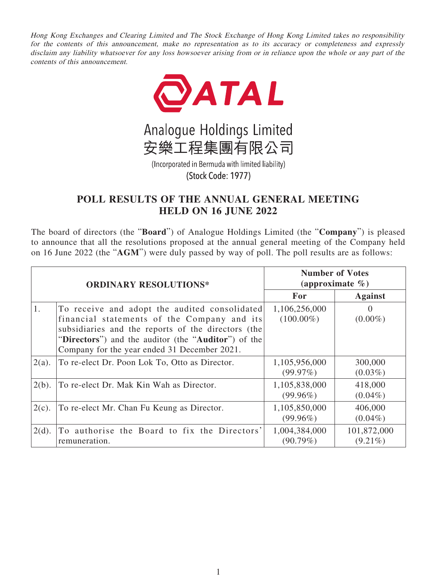Hong Kong Exchanges and Clearing Limited and The Stock Exchange of Hong Kong Limited takes no responsibility for the contents of this announcement, make no representation as to its accuracy or completeness and expressly disclaim any liability whatsoever for any loss howsoever arising from or in reliance upon the whole or any part of the contents of this announcement.





(Incorporated in Bermuda with limited liability) (Stock Code: 1977)

## **POLL RESULTS OF THE ANNUAL GENERAL MEETING HELD ON 16 JUNE 2022**

The board of directors (the "**Board**") of Analogue Holdings Limited (the "**Company**") is pleased to announce that all the resolutions proposed at the annual general meeting of the Company held on 16 June 2022 (the "**AGM**") were duly passed by way of poll. The poll results are as follows:

| <b>ORDINARY RESOLUTIONS*</b> |                                                     | <b>Number of Votes</b><br>(approximate $\%$ ) |                |
|------------------------------|-----------------------------------------------------|-----------------------------------------------|----------------|
|                              |                                                     | <b>For</b>                                    | <b>Against</b> |
| 1.                           | To receive and adopt the audited consolidated       | 1,106,256,000                                 | $\mathbf{0}$   |
|                              | financial statements of the Company and its         | $(100.00\%)$                                  | $(0.00\%)$     |
|                              | subsidiaries and the reports of the directors (the  |                                               |                |
|                              | "Directors") and the auditor (the "Auditor") of the |                                               |                |
|                              | Company for the year ended 31 December 2021.        |                                               |                |
| $2(a)$ .                     | To re-elect Dr. Poon Lok To, Otto as Director.      | 1,105,956,000                                 | 300,000        |
|                              |                                                     | (99.97%)                                      | $(0.03\%)$     |
| $2(b)$ .                     | To re-elect Dr. Mak Kin Wah as Director.            | 1,105,838,000                                 | 418,000        |
|                              |                                                     | $(99.96\%)$                                   | $(0.04\%)$     |
| $2(c)$ .                     | To re-elect Mr. Chan Fu Keung as Director.          | 1,105,850,000                                 | 406,000        |
|                              |                                                     | $(99.96\%)$                                   | $(0.04\%)$     |
| $2(d)$ .                     | To authorise the Board to fix the Directors'        | 1,004,384,000                                 | 101,872,000    |
|                              | remuneration.                                       | $(90.79\%)$                                   | $(9.21\%)$     |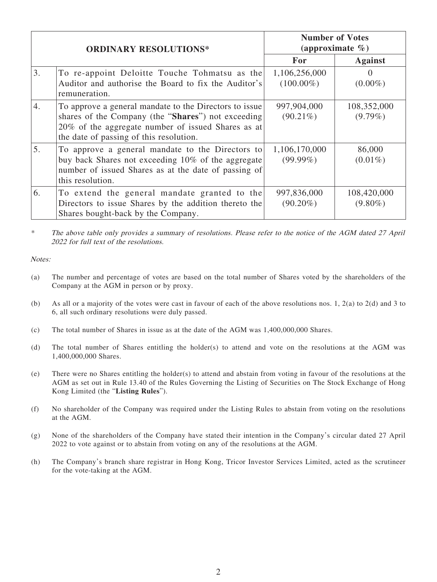| <b>ORDINARY RESOLUTIONS*</b> |                                                                                                                                                                                                               | <b>Number of Votes</b><br>(approximate $\%$ ) |                           |
|------------------------------|---------------------------------------------------------------------------------------------------------------------------------------------------------------------------------------------------------------|-----------------------------------------------|---------------------------|
|                              |                                                                                                                                                                                                               | For                                           | <b>Against</b>            |
| 3.                           | To re-appoint Deloitte Touche Tohmatsu as the<br>Auditor and authorise the Board to fix the Auditor's<br>remuneration.                                                                                        | 1,106,256,000<br>$(100.00\%)$                 | 0<br>$(0.00\%)$           |
| 4.                           | To approve a general mandate to the Directors to issue<br>shares of the Company (the "Shares") not exceeding<br>20% of the aggregate number of issued Shares as at<br>the date of passing of this resolution. | 997,904,000<br>$(90.21\%)$                    | 108,352,000<br>$(9.79\%)$ |
| 5.                           | To approve a general mandate to the Directors to<br>buy back Shares not exceeding 10% of the aggregate<br>number of issued Shares as at the date of passing of<br>this resolution.                            | 1,106,170,000<br>$(99.99\%)$                  | 86,000<br>$(0.01\%)$      |
| 6.                           | To extend the general mandate granted to the<br>Directors to issue Shares by the addition thereto the<br>Shares bought-back by the Company.                                                                   | 997,836,000<br>$(90.20\%)$                    | 108,420,000<br>$(9.80\%)$ |

\* The above table only provides a summary of resolutions. Please refer to the notice of the AGM dated 27 April 2022 for full text of the resolutions.

Notes:

- (a) The number and percentage of votes are based on the total number of Shares voted by the shareholders of the Company at the AGM in person or by proxy.
- (b) As all or a majority of the votes were cast in favour of each of the above resolutions nos. 1, 2(a) to 2(d) and 3 to 6, all such ordinary resolutions were duly passed.
- (c) The total number of Shares in issue as at the date of the AGM was 1,400,000,000 Shares.
- (d) The total number of Shares entitling the holder(s) to attend and vote on the resolutions at the AGM was 1,400,000,000 Shares.
- (e) There were no Shares entitling the holder(s) to attend and abstain from voting in favour of the resolutions at the AGM as set out in Rule 13.40 of the Rules Governing the Listing of Securities on The Stock Exchange of Hong Kong Limited (the "**Listing Rules**").
- (f) No shareholder of the Company was required under the Listing Rules to abstain from voting on the resolutions at the AGM.
- (g) None of the shareholders of the Company have stated their intention in the Company's circular dated 27 April 2022 to vote against or to abstain from voting on any of the resolutions at the AGM.
- (h) The Company's branch share registrar in Hong Kong, Tricor Investor Services Limited, acted as the scrutineer for the vote-taking at the AGM.